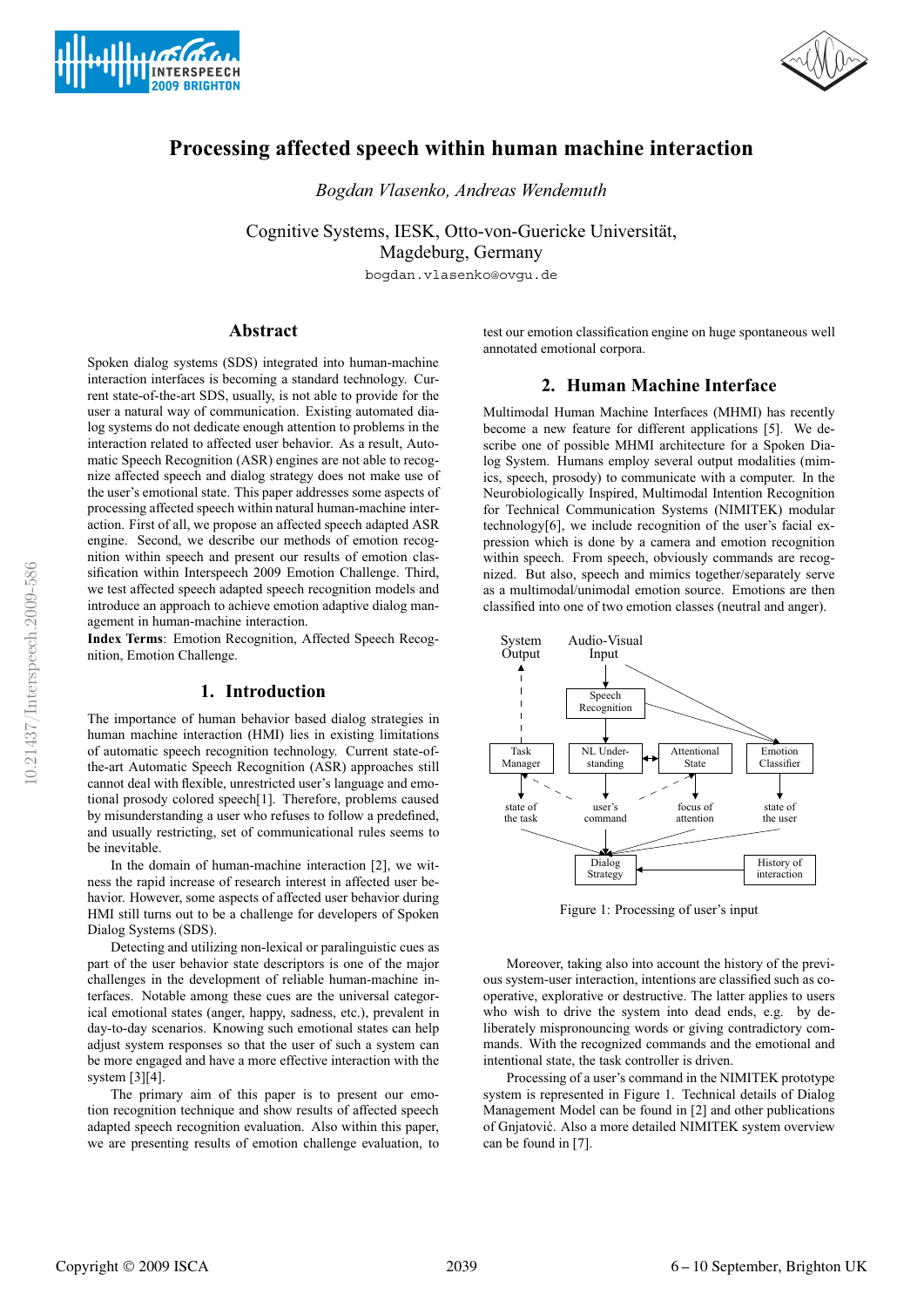



# **Processing affected speech within human machine interaction**

*Bogdan Vlasenko, Andreas Wendemuth*

Cognitive Systems, IESK, Otto-von-Guericke Universität, Magdeburg, Germany

bogdan.vlasenko@ovgu.de

# **Abstract**

Spoken dialog systems (SDS) integrated into human-machine interaction interfaces is becoming a standard technology. Current state-of-the-art SDS, usually, is not able to provide for the user a natural way of communication. Existing automated dialog systems do not dedicate enough attention to problems in the interaction related to affected user behavior. As a result, Automatic Speech Recognition (ASR) engines are not able to recognize affected speech and dialog strategy does not make use of the user's emotional state. This paper addresses some aspects of processing affected speech within natural human-machine interaction. First of all, we propose an affected speech adapted ASR engine. Second, we describe our methods of emotion recognition within speech and present our results of emotion classification within Interspeech 2009 Emotion Challenge. Third, we test affected speech adapted speech recognition models and introduce an approach to achieve emotion adaptive dialog management in human-machine interaction.

**Index Terms**: Emotion Recognition, Affected Speech Recognition, Emotion Challenge.

# **1. Introduction**

The importance of human behavior based dialog strategies in human machine interaction (HMI) lies in existing limitations of automatic speech recognition technology. Current state-ofthe-art Automatic Speech Recognition (ASR) approaches still cannot deal with flexible, unrestricted user's language and emotional prosody colored speech[1]. Therefore, problems caused by misunderstanding a user who refuses to follow a predefined, and usually restricting, set of communicational rules seems to be inevitable.

In the domain of human-machine interaction [2], we witness the rapid increase of research interest in affected user behavior. However, some aspects of affected user behavior during HMI still turns out to be a challenge for developers of Spoken Dialog Systems (SDS).

Detecting and utilizing non-lexical or paralinguistic cues as part of the user behavior state descriptors is one of the major challenges in the development of reliable human-machine interfaces. Notable among these cues are the universal categorical emotional states (anger, happy, sadness, etc.), prevalent in day-to-day scenarios. Knowing such emotional states can help adjust system responses so that the user of such a system can be more engaged and have a more effective interaction with the system [3][4].

The primary aim of this paper is to present our emotion recognition technique and show results of affected speech adapted speech recognition evaluation. Also within this paper, we are presenting results of emotion challenge evaluation, to test our emotion classification engine on huge spontaneous well annotated emotional corpora.

# **2. Human Machine Interface**

Multimodal Human Machine Interfaces (MHMI) has recently become a new feature for different applications [5]. We describe one of possible MHMI architecture for a Spoken Dialog System. Humans employ several output modalities (mimics, speech, prosody) to communicate with a computer. In the Neurobiologically Inspired, Multimodal Intention Recognition for Technical Communication Systems (NIMITEK) modular technology[6], we include recognition of the user's facial expression which is done by a camera and emotion recognition within speech. From speech, obviously commands are recognized. But also, speech and mimics together/separately serve as a multimodal/unimodal emotion source. Emotions are then classified into one of two emotion classes (neutral and anger).



Figure 1: Processing of user's input

Moreover, taking also into account the history of the previous system-user interaction, intentions are classified such as cooperative, explorative or destructive. The latter applies to users who wish to drive the system into dead ends, e.g. by deliberately mispronouncing words or giving contradictory commands. With the recognized commands and the emotional and intentional state, the task controller is driven.

Processing of a user's command in the NIMITEK prototype system is represented in Figure 1. Technical details of Dialog Management Model can be found in [2] and other publications of Gnjatović. Also a more detailed NIMITEK system overview can be found in [7].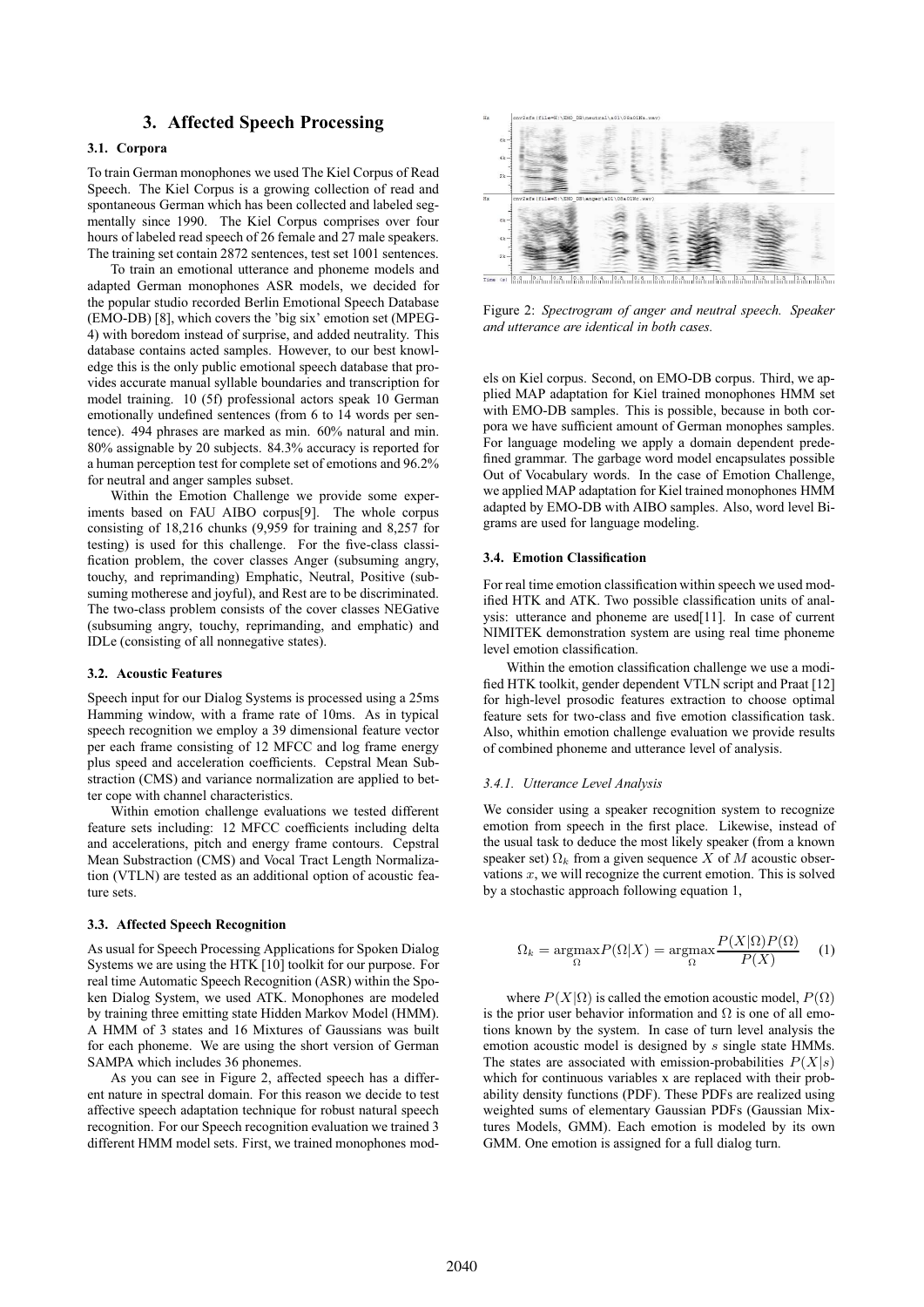# **3. Affected Speech Processing**

### **3.1. Corpora**

To train German monophones we used The Kiel Corpus of Read Speech. The Kiel Corpus is a growing collection of read and spontaneous German which has been collected and labeled segmentally since 1990. The Kiel Corpus comprises over four hours of labeled read speech of 26 female and 27 male speakers. The training set contain 2872 sentences, test set 1001 sentences.

To train an emotional utterance and phoneme models and adapted German monophones ASR models, we decided for the popular studio recorded Berlin Emotional Speech Database (EMO-DB) [8], which covers the 'big six' emotion set (MPEG-4) with boredom instead of surprise, and added neutrality. This database contains acted samples. However, to our best knowledge this is the only public emotional speech database that provides accurate manual syllable boundaries and transcription for model training. 10 (5f) professional actors speak 10 German emotionally undefined sentences (from 6 to 14 words per sentence). 494 phrases are marked as min. 60% natural and min. 80% assignable by 20 subjects. 84.3% accuracy is reported for a human perception test for complete set of emotions and 96.2% for neutral and anger samples subset.

Within the Emotion Challenge we provide some experiments based on FAU AIBO corpus[9]. The whole corpus consisting of 18,216 chunks (9,959 for training and 8,257 for testing) is used for this challenge. For the five-class classification problem, the cover classes Anger (subsuming angry, touchy, and reprimanding) Emphatic, Neutral, Positive (subsuming motherese and joyful), and Rest are to be discriminated. The two-class problem consists of the cover classes NEGative (subsuming angry, touchy, reprimanding, and emphatic) and IDLe (consisting of all nonnegative states).

#### **3.2. Acoustic Features**

Speech input for our Dialog Systems is processed using a 25ms Hamming window, with a frame rate of 10ms. As in typical speech recognition we employ a 39 dimensional feature vector per each frame consisting of 12 MFCC and log frame energy plus speed and acceleration coefficients. Cepstral Mean Substraction (CMS) and variance normalization are applied to better cope with channel characteristics.

Within emotion challenge evaluations we tested different feature sets including: 12 MFCC coefficients including delta and accelerations, pitch and energy frame contours. Cepstral Mean Substraction (CMS) and Vocal Tract Length Normalization (VTLN) are tested as an additional option of acoustic feature sets.

### **3.3. Affected Speech Recognition**

As usual for Speech Processing Applications for Spoken Dialog Systems we are using the HTK [10] toolkit for our purpose. For real time Automatic Speech Recognition (ASR) within the Spoken Dialog System, we used ATK. Monophones are modeled by training three emitting state Hidden Markov Model (HMM). A HMM of 3 states and 16 Mixtures of Gaussians was built for each phoneme. We are using the short version of German SAMPA which includes 36 phonemes.

As you can see in Figure 2, affected speech has a different nature in spectral domain. For this reason we decide to test affective speech adaptation technique for robust natural speech recognition. For our Speech recognition evaluation we trained 3 different HMM model sets. First, we trained monophones mod-



Figure 2: *Spectrogram of anger and neutral speech. Speaker and utterance are identical in both cases.*

els on Kiel corpus. Second, on EMO-DB corpus. Third, we applied MAP adaptation for Kiel trained monophones HMM set with EMO-DB samples. This is possible, because in both corpora we have sufficient amount of German monophes samples. For language modeling we apply a domain dependent predefined grammar. The garbage word model encapsulates possible Out of Vocabulary words. In the case of Emotion Challenge, we applied MAP adaptation for Kiel trained monophones HMM adapted by EMO-DB with AIBO samples. Also, word level Bigrams are used for language modeling.

### **3.4. Emotion Classification**

For real time emotion classification within speech we used modified HTK and ATK. Two possible classification units of analysis: utterance and phoneme are used[11]. In case of current NIMITEK demonstration system are using real time phoneme level emotion classification.

Within the emotion classification challenge we use a modified HTK toolkit, gender dependent VTLN script and Praat [12] for high-level prosodic features extraction to choose optimal feature sets for two-class and five emotion classification task. Also, whithin emotion challenge evaluation we provide results of combined phoneme and utterance level of analysis.

#### *3.4.1. Utterance Level Analysis*

We consider using a speaker recognition system to recognize emotion from speech in the first place. Likewise, instead of the usual task to deduce the most likely speaker (from a known speaker set)  $\Omega_k$  from a given sequence X of M acoustic observations  $x$ , we will recognize the current emotion. This is solved by a stochastic approach following equation 1,

$$
\Omega_k = \underset{\Omega}{\text{argmax}} P(\Omega|X) = \underset{\Omega}{\text{argmax}} \frac{P(X|\Omega)P(\Omega)}{P(X)} \tag{1}
$$

where  $P(X|\Omega)$  is called the emotion acoustic model,  $P(\Omega)$ is the prior user behavior information and  $\Omega$  is one of all emotions known by the system. In case of turn level analysis the emotion acoustic model is designed by s single state HMMs. The states are associated with emission-probabilities  $P(X|s)$ which for continuous variables x are replaced with their probability density functions (PDF). These PDFs are realized using weighted sums of elementary Gaussian PDFs (Gaussian Mixtures Models, GMM). Each emotion is modeled by its own GMM. One emotion is assigned for a full dialog turn.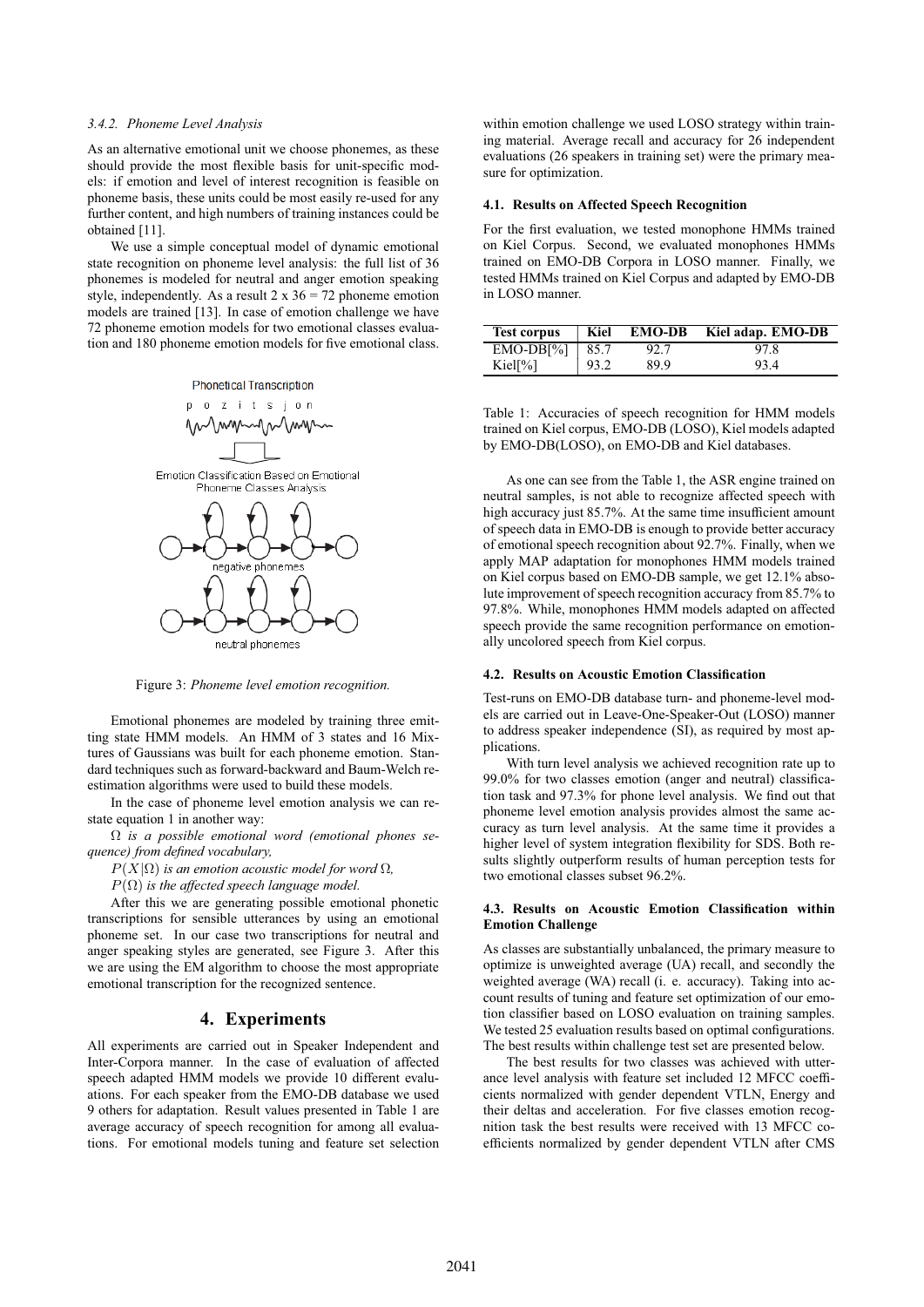### *3.4.2. Phoneme Level Analysis*

As an alternative emotional unit we choose phonemes, as these should provide the most flexible basis for unit-specific models: if emotion and level of interest recognition is feasible on phoneme basis, these units could be most easily re-used for any further content, and high numbers of training instances could be obtained [11].

We use a simple conceptual model of dynamic emotional state recognition on phoneme level analysis: the full list of 36 phonemes is modeled for neutral and anger emotion speaking style, independently. As a result  $2 \times 36 = 72$  phoneme emotion models are trained [13]. In case of emotion challenge we have 72 phoneme emotion models for two emotional classes evaluation and 180 phoneme emotion models for five emotional class.

**Phonetical Transcription** 



Figure 3: *Phoneme level emotion recognition.*

Emotional phonemes are modeled by training three emitting state HMM models. An HMM of 3 states and 16 Mixtures of Gaussians was built for each phoneme emotion. Standard techniques such as forward-backward and Baum-Welch reestimation algorithms were used to build these models.

In the case of phoneme level emotion analysis we can restate equation 1 in another way:

Ω *is a possible emotional word (emotional phones sequence) from defined vocabulary,*

 $P(X|\Omega)$  *is an emotion acoustic model for word*  $\Omega$ *,* 

 $P(\Omega)$  *is the affected speech language model.* 

After this we are generating possible emotional phonetic transcriptions for sensible utterances by using an emotional phoneme set. In our case two transcriptions for neutral and anger speaking styles are generated, see Figure 3. After this we are using the EM algorithm to choose the most appropriate emotional transcription for the recognized sentence.

# **4. Experiments**

All experiments are carried out in Speaker Independent and Inter-Corpora manner. In the case of evaluation of affected speech adapted HMM models we provide 10 different evaluations. For each speaker from the EMO-DB database we used 9 others for adaptation. Result values presented in Table 1 are average accuracy of speech recognition for among all evaluations. For emotional models tuning and feature set selection

within emotion challenge we used LOSO strategy within training material. Average recall and accuracy for 26 independent evaluations (26 speakers in training set) were the primary measure for optimization.

### **4.1. Results on Affected Speech Recognition**

For the first evaluation, we tested monophone HMMs trained on Kiel Corpus. Second, we evaluated monophones HMMs trained on EMO-DB Corpora in LOSO manner. Finally, we tested HMMs trained on Kiel Corpus and adapted by EMO-DB in LOSO manner.

| <b>Test corpus</b> | Kiel | <b>EMO-DB</b> | Kiel adap. EMO-DB |
|--------------------|------|---------------|-------------------|
| $EMO-DB[%]$   85.7 |      | 92.7          | 97.8              |
| Kiel[%]            | 93.2 | 89.9          | 93.4              |

Table 1: Accuracies of speech recognition for HMM models trained on Kiel corpus, EMO-DB (LOSO), Kiel models adapted by EMO-DB(LOSO), on EMO-DB and Kiel databases.

As one can see from the Table 1, the ASR engine trained on neutral samples, is not able to recognize affected speech with high accuracy just 85.7%. At the same time insufficient amount of speech data in EMO-DB is enough to provide better accuracy of emotional speech recognition about 92.7%. Finally, when we apply MAP adaptation for monophones HMM models trained on Kiel corpus based on EMO-DB sample, we get 12.1% absolute improvement of speech recognition accuracy from 85.7% to 97.8%. While, monophones HMM models adapted on affected speech provide the same recognition performance on emotionally uncolored speech from Kiel corpus.

#### **4.2. Results on Acoustic Emotion Classification**

Test-runs on EMO-DB database turn- and phoneme-level models are carried out in Leave-One-Speaker-Out (LOSO) manner to address speaker independence (SI), as required by most applications.

With turn level analysis we achieved recognition rate up to 99.0% for two classes emotion (anger and neutral) classification task and 97.3% for phone level analysis. We find out that phoneme level emotion analysis provides almost the same accuracy as turn level analysis. At the same time it provides a higher level of system integration flexibility for SDS. Both results slightly outperform results of human perception tests for two emotional classes subset 96.2%.

### **4.3. Results on Acoustic Emotion Classification within Emotion Challenge**

As classes are substantially unbalanced, the primary measure to optimize is unweighted average (UA) recall, and secondly the weighted average (WA) recall (i. e. accuracy). Taking into account results of tuning and feature set optimization of our emotion classifier based on LOSO evaluation on training samples. We tested 25 evaluation results based on optimal configurations. The best results within challenge test set are presented below.

The best results for two classes was achieved with utterance level analysis with feature set included 12 MFCC coefficients normalized with gender dependent VTLN, Energy and their deltas and acceleration. For five classes emotion recognition task the best results were received with 13 MFCC coefficients normalized by gender dependent VTLN after CMS